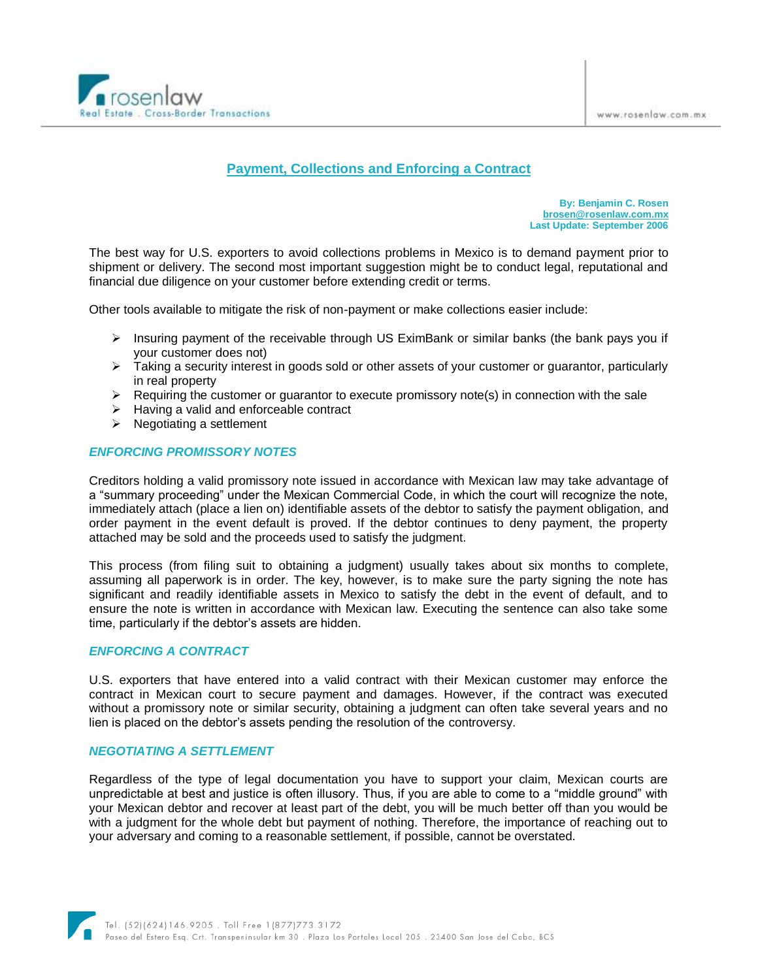

# **Payment, Collections and Enforcing a Contract**

**By: Benjamin C. Rosen [brosen@rosenlaw.com.mx](mailto:brosen@rosenlaw.com.mx) Last Update: September 2006**

The best way for U.S. exporters to avoid collections problems in Mexico is to demand payment prior to shipment or delivery. The second most important suggestion might be to conduct legal, reputational and financial due diligence on your customer before extending credit or terms.

Other tools available to mitigate the risk of non-payment or make collections easier include:

- $\triangleright$  Insuring payment of the receivable through US EximBank or similar banks (the bank pays you if your customer does not)
- $\triangleright$  Taking a security interest in goods sold or other assets of your customer or guarantor, particularly in real property
- $\triangleright$  Requiring the customer or quarantor to execute promissory note(s) in connection with the sale
- $\triangleright$  Having a valid and enforceable contract
- $\triangleright$  Negotiating a settlement

## *ENFORCING PROMISSORY NOTES*

Creditors holding a valid promissory note issued in accordance with Mexican law may take advantage of a "summary proceeding" under the Mexican Commercial Code, in which the court will recognize the note, immediately attach (place a lien on) identifiable assets of the debtor to satisfy the payment obligation, and order payment in the event default is proved. If the debtor continues to deny payment, the property attached may be sold and the proceeds used to satisfy the judgment.

This process (from filing suit to obtaining a judgment) usually takes about six months to complete, assuming all paperwork is in order. The key, however, is to make sure the party signing the note has significant and readily identifiable assets in Mexico to satisfy the debt in the event of default, and to ensure the note is written in accordance with Mexican law. Executing the sentence can also take some time, particularly if the debtor's assets are hidden.

#### *ENFORCING A CONTRACT*

U.S. exporters that have entered into a valid contract with their Mexican customer may enforce the contract in Mexican court to secure payment and damages. However, if the contract was executed without a promissory note or similar security, obtaining a judgment can often take several years and no lien is placed on the debtor's assets pending the resolution of the controversy.

#### *NEGOTIATING A SETTLEMENT*

Regardless of the type of legal documentation you have to support your claim, Mexican courts are unpredictable at best and justice is often illusory. Thus, if you are able to come to a "middle ground" with your Mexican debtor and recover at least part of the debt, you will be much better off than you would be with a judgment for the whole debt but payment of nothing. Therefore, the importance of reaching out to your adversary and coming to a reasonable settlement, if possible, cannot be overstated.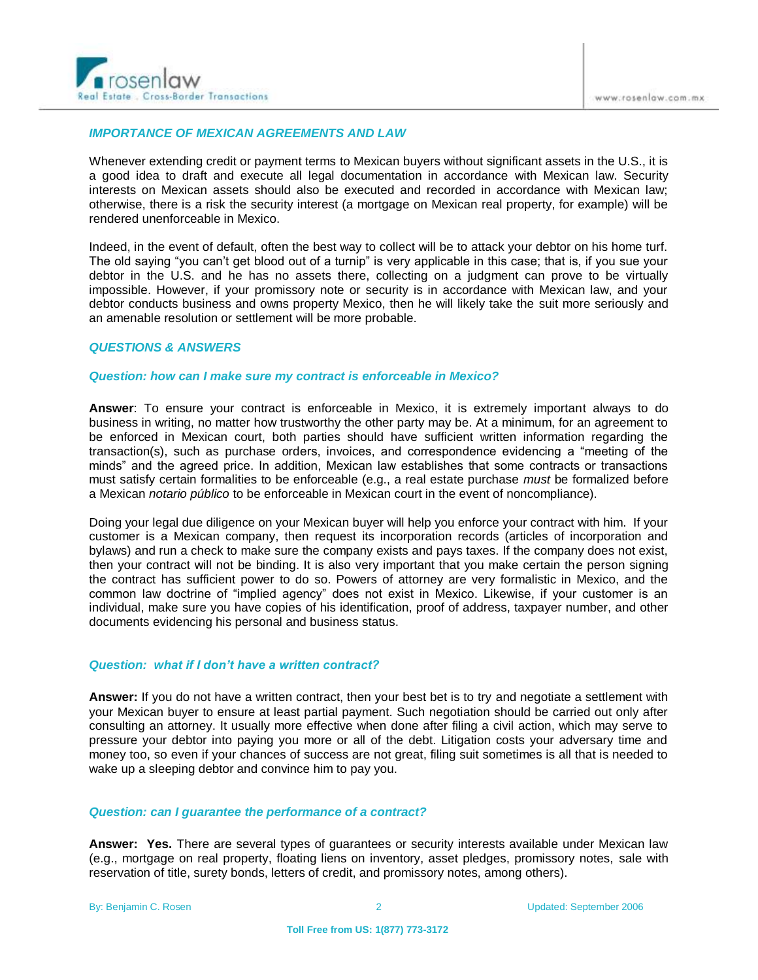

# *IMPORTANCE OF MEXICAN AGREEMENTS AND LAW*

Whenever extending credit or payment terms to Mexican buyers without significant assets in the U.S., it is a good idea to draft and execute all legal documentation in accordance with Mexican law. Security interests on Mexican assets should also be executed and recorded in accordance with Mexican law; otherwise, there is a risk the security interest (a mortgage on Mexican real property, for example) will be rendered unenforceable in Mexico.

Indeed, in the event of default, often the best way to collect will be to attack your debtor on his home turf. The old saying "you can't get blood out of a turnip" is very applicable in this case; that is, if you sue your debtor in the U.S. and he has no assets there, collecting on a judgment can prove to be virtually impossible. However, if your promissory note or security is in accordance with Mexican law, and your debtor conducts business and owns property Mexico, then he will likely take the suit more seriously and an amenable resolution or settlement will be more probable.

# *QUESTIONS & ANSWERS*

#### *Question: how can I make sure my contract is enforceable in Mexico?*

**Answer**: To ensure your contract is enforceable in Mexico, it is extremely important always to do business in writing, no matter how trustworthy the other party may be. At a minimum, for an agreement to be enforced in Mexican court, both parties should have sufficient written information regarding the transaction(s), such as purchase orders, invoices, and correspondence evidencing a "meeting of the minds" and the agreed price. In addition, Mexican law establishes that some contracts or transactions must satisfy certain formalities to be enforceable (e.g., a real estate purchase *must* be formalized before a Mexican *notario público* to be enforceable in Mexican court in the event of noncompliance).

Doing your legal due diligence on your Mexican buyer will help you enforce your contract with him. If your customer is a Mexican company, then request its incorporation records (articles of incorporation and bylaws) and run a check to make sure the company exists and pays taxes. If the company does not exist, then your contract will not be binding. It is also very important that you make certain the person signing the contract has sufficient power to do so. Powers of attorney are very formalistic in Mexico, and the common law doctrine of "implied agency" does not exist in Mexico. Likewise, if your customer is an individual, make sure you have copies of his identification, proof of address, taxpayer number, and other documents evidencing his personal and business status.

#### *Question: what if I don't have a written contract?*

**Answer:** If you do not have a written contract, then your best bet is to try and negotiate a settlement with your Mexican buyer to ensure at least partial payment. Such negotiation should be carried out only after consulting an attorney. It usually more effective when done after filing a civil action, which may serve to pressure your debtor into paying you more or all of the debt. Litigation costs your adversary time and money too, so even if your chances of success are not great, filing suit sometimes is all that is needed to wake up a sleeping debtor and convince him to pay you.

#### *Question: can I guarantee the performance of a contract?*

**Answer: Yes.** There are several types of guarantees or security interests available under Mexican law (e.g., mortgage on real property, floating liens on inventory, asset pledges, promissory notes, sale with reservation of title, surety bonds, letters of credit, and promissory notes, among others).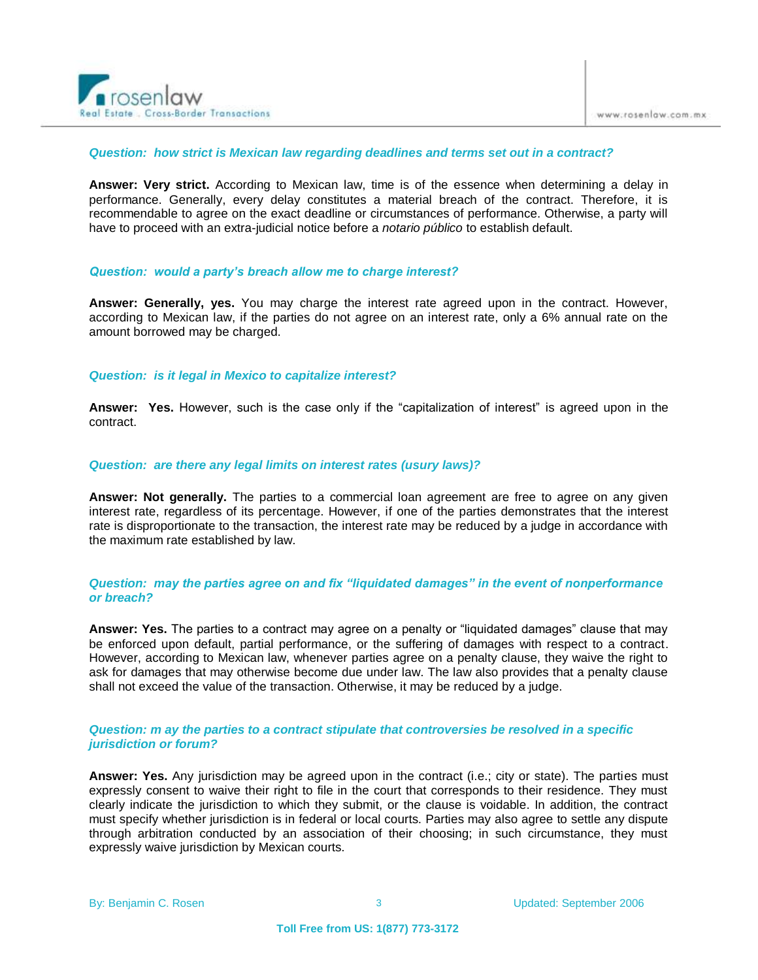

#### *Question: how strict is Mexican law regarding deadlines and terms set out in a contract?*

**Answer: Very strict.** According to Mexican law, time is of the essence when determining a delay in performance. Generally, every delay constitutes a material breach of the contract. Therefore, it is recommendable to agree on the exact deadline or circumstances of performance. Otherwise, a party will have to proceed with an extra-judicial notice before a *notario público* to establish default.

#### *Question: would a party's breach allow me to charge interest?*

**Answer: Generally, yes.** You may charge the interest rate agreed upon in the contract. However, according to Mexican law, if the parties do not agree on an interest rate, only a 6% annual rate on the amount borrowed may be charged.

#### *Question: is it legal in Mexico to capitalize interest?*

**Answer: Yes.** However, such is the case only if the "capitalization of interest" is agreed upon in the contract.

#### *Question: are there any legal limits on interest rates (usury laws)?*

**Answer: Not generally.** The parties to a commercial loan agreement are free to agree on any given interest rate, regardless of its percentage. However, if one of the parties demonstrates that the interest rate is disproportionate to the transaction, the interest rate may be reduced by a judge in accordance with the maximum rate established by law.

## *Question: may the parties agree on and fix "liquidated damages" in the event of nonperformance or breach?*

**Answer: Yes.** The parties to a contract may agree on a penalty or "liquidated damages" clause that may be enforced upon default, partial performance, or the suffering of damages with respect to a contract. However, according to Mexican law, whenever parties agree on a penalty clause, they waive the right to ask for damages that may otherwise become due under law. The law also provides that a penalty clause shall not exceed the value of the transaction. Otherwise, it may be reduced by a judge.

## *Question: m ay the parties to a contract stipulate that controversies be resolved in a specific jurisdiction or forum?*

**Answer: Yes.** Any jurisdiction may be agreed upon in the contract (i.e.; city or state). The parties must expressly consent to waive their right to file in the court that corresponds to their residence. They must clearly indicate the jurisdiction to which they submit, or the clause is voidable. In addition, the contract must specify whether jurisdiction is in federal or local courts. Parties may also agree to settle any dispute through arbitration conducted by an association of their choosing; in such circumstance, they must expressly waive jurisdiction by Mexican courts.